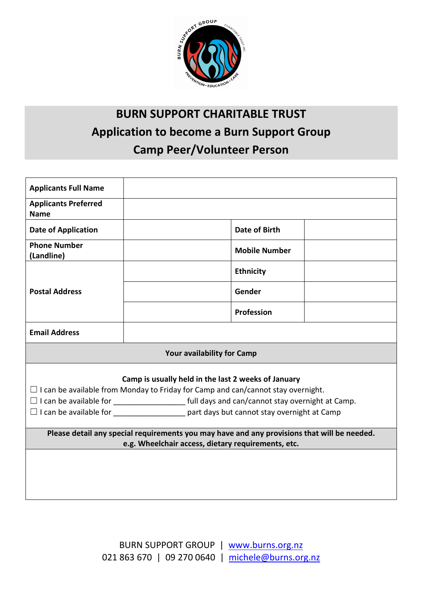

# BURN SUPPORT CHARITABLE TRUST Application to become a Burn Support Group Camp Peer/Volunteer Person

| <b>Applicants Full Name</b>                                                                                                                    |                                                                                           |  |  |  |  |
|------------------------------------------------------------------------------------------------------------------------------------------------|-------------------------------------------------------------------------------------------|--|--|--|--|
| <b>Applicants Preferred</b><br><b>Name</b>                                                                                                     |                                                                                           |  |  |  |  |
| <b>Date of Application</b>                                                                                                                     | <b>Date of Birth</b>                                                                      |  |  |  |  |
| <b>Phone Number</b><br>(Landline)                                                                                                              | <b>Mobile Number</b>                                                                      |  |  |  |  |
| <b>Postal Address</b>                                                                                                                          | <b>Ethnicity</b>                                                                          |  |  |  |  |
|                                                                                                                                                | Gender                                                                                    |  |  |  |  |
|                                                                                                                                                | <b>Profession</b>                                                                         |  |  |  |  |
| <b>Email Address</b>                                                                                                                           |                                                                                           |  |  |  |  |
| Your availability for Camp                                                                                                                     |                                                                                           |  |  |  |  |
| Camp is usually held in the last 2 weeks of January<br>$\Box$ I can be available from Monday to Friday for Camp and can/cannot stay overnight. |                                                                                           |  |  |  |  |
|                                                                                                                                                |                                                                                           |  |  |  |  |
|                                                                                                                                                | □ I can be available for ____________________ part days but cannot stay overnight at Camp |  |  |  |  |
| Please detail any special requirements you may have and any provisions that will be needed.                                                    |                                                                                           |  |  |  |  |
| e.g. Wheelchair access, dietary requirements, etc.                                                                                             |                                                                                           |  |  |  |  |
|                                                                                                                                                |                                                                                           |  |  |  |  |
|                                                                                                                                                |                                                                                           |  |  |  |  |
|                                                                                                                                                |                                                                                           |  |  |  |  |
|                                                                                                                                                |                                                                                           |  |  |  |  |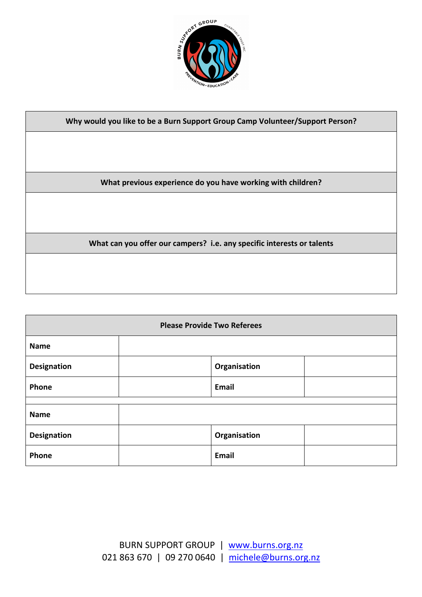

| Why would you like to be a Burn Support Group Camp Volunteer/Support Person? |  |  |  |  |
|------------------------------------------------------------------------------|--|--|--|--|
|                                                                              |  |  |  |  |
|                                                                              |  |  |  |  |
|                                                                              |  |  |  |  |
| What previous experience do you have working with children?                  |  |  |  |  |
|                                                                              |  |  |  |  |
|                                                                              |  |  |  |  |
|                                                                              |  |  |  |  |
| What can you offer our campers? i.e. any specific interests or talents       |  |  |  |  |
|                                                                              |  |  |  |  |
|                                                                              |  |  |  |  |
|                                                                              |  |  |  |  |

| <b>Please Provide Two Referees</b> |  |              |  |  |  |
|------------------------------------|--|--------------|--|--|--|
| <b>Name</b>                        |  |              |  |  |  |
| <b>Designation</b>                 |  | Organisation |  |  |  |
| Phone                              |  | <b>Email</b> |  |  |  |
| <b>Name</b>                        |  |              |  |  |  |
| <b>Designation</b>                 |  | Organisation |  |  |  |
| Phone                              |  | <b>Email</b> |  |  |  |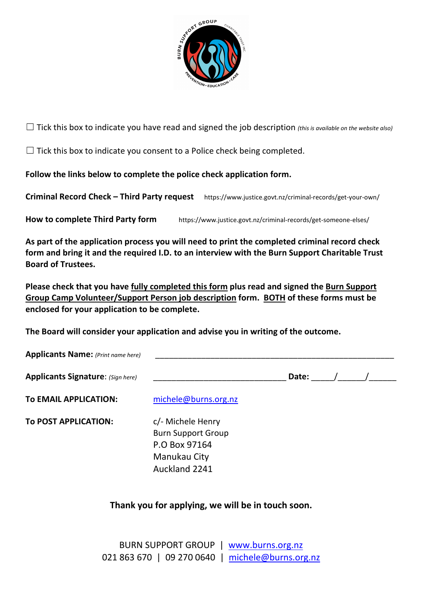

 $\Box$  Tick this box to indicate you have read and signed the job description (this is available on the website also)

 $\Box$  Tick this box to indicate you consent to a Police check being completed.

Follow the links below to complete the police check application form.

Criminal Record Check – Third Party request https://www.justice.govt.nz/criminal-records/get-your-own/

How to complete Third Party form https://www.justice.govt.nz/criminal-records/get-someone-elses/

As part of the application process you will need to print the completed criminal record check form and bring it and the required I.D. to an interview with the Burn Support Charitable Trust Board of Trustees.

Please check that you have fully completed this form plus read and signed the Burn Support Group Camp Volunteer/Support Person job description form. BOTH of these forms must be enclosed for your application to be complete.

The Board will consider your application and advise you in writing of the outcome.

Auckland 2241

| <b>Applicants Name:</b> (Print name here) |                           |       |  |  |
|-------------------------------------------|---------------------------|-------|--|--|
| <b>Applicants Signature: (Sign here)</b>  |                           | Date: |  |  |
| To EMAIL APPLICATION:                     | michele@burns.org.nz      |       |  |  |
| TO POST APPLICATION:                      | c/- Michele Henry         |       |  |  |
|                                           | <b>Burn Support Group</b> |       |  |  |
|                                           | P.O Box 97164             |       |  |  |
|                                           | Manukau City              |       |  |  |

### Thank you for applying, we will be in touch soon.

BURN SUPPORT GROUP | www.burns.org.nz 021 863 670 | 09 270 0640 | michele@burns.org.nz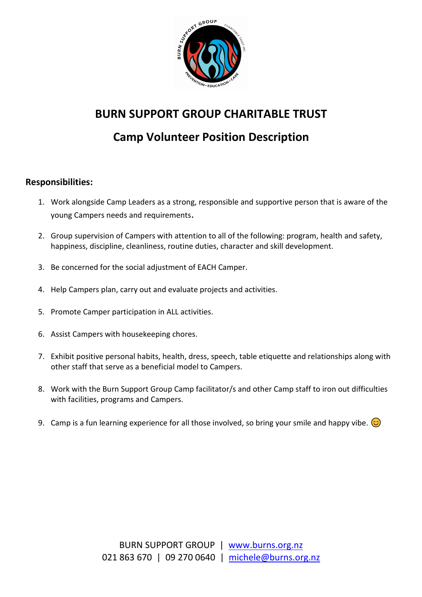

## BURN SUPPORT GROUP CHARITABLE TRUST

# Camp Volunteer Position Description

#### Responsibilities:

- 1. Work alongside Camp Leaders as a strong, responsible and supportive person that is aware of the young Campers needs and requirements.
- 2. Group supervision of Campers with attention to all of the following: program, health and safety, happiness, discipline, cleanliness, routine duties, character and skill development.
- 3. Be concerned for the social adjustment of EACH Camper.
- 4. Help Campers plan, carry out and evaluate projects and activities.
- 5. Promote Camper participation in ALL activities.
- 6. Assist Campers with housekeeping chores.
- 7. Exhibit positive personal habits, health, dress, speech, table etiquette and relationships along with other staff that serve as a beneficial model to Campers.
- 8. Work with the Burn Support Group Camp facilitator/s and other Camp staff to iron out difficulties with facilities, programs and Campers.
- 9. Camp is a fun learning experience for all those involved, so bring your smile and happy vibe.  $\odot$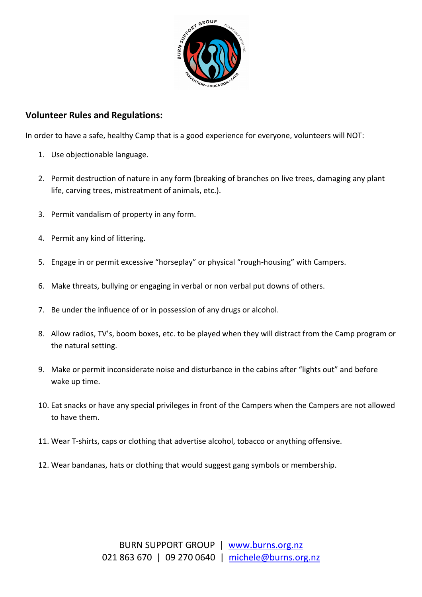

#### Volunteer Rules and Regulations:

In order to have a safe, healthy Camp that is a good experience for everyone, volunteers will NOT:

- 1. Use objectionable language.
- 2. Permit destruction of nature in any form (breaking of branches on live trees, damaging any plant life, carving trees, mistreatment of animals, etc.).
- 3. Permit vandalism of property in any form.
- 4. Permit any kind of littering.
- 5. Engage in or permit excessive "horseplay" or physical "rough-housing" with Campers.
- 6. Make threats, bullying or engaging in verbal or non verbal put downs of others.
- 7. Be under the influence of or in possession of any drugs or alcohol.
- 8. Allow radios, TV's, boom boxes, etc. to be played when they will distract from the Camp program or the natural setting.
- 9. Make or permit inconsiderate noise and disturbance in the cabins after "lights out" and before wake up time.
- 10. Eat snacks or have any special privileges in front of the Campers when the Campers are not allowed to have them.
- 11. Wear T-shirts, caps or clothing that advertise alcohol, tobacco or anything offensive.
- 12. Wear bandanas, hats or clothing that would suggest gang symbols or membership.